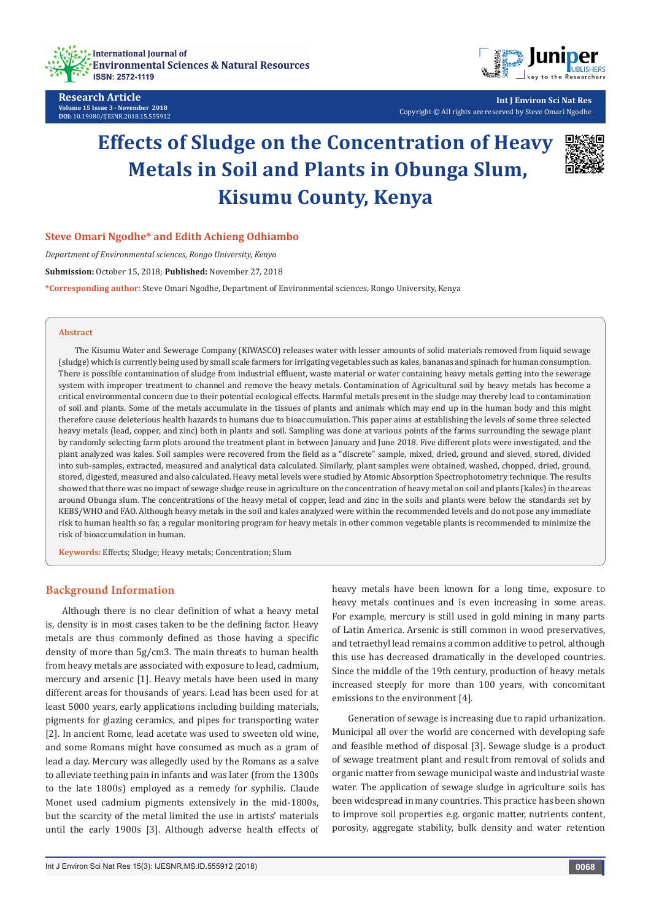

**Research Article Volume 15 Issue 3 - November 2018 DOI:** [10.19080/IJESNR.2018.15.555912](http://dx.doi.org/10.19080/IJESNR.2018.15.555912)



**Int J Environ Sci Nat Res** Copyright © All rights are reserved by Steve Omari Ngodhe

# **Effects of Sludge on the Concentration of Heavy Metals in Soil and Plants in Obunga Slum, Kisumu County, Kenya**



## **Steve Omari Ngodhe\* and Edith Achieng Odhiambo**

*Department of Environmental sciences, Rongo University, Kenya*

**Submission:** October 15, 2018; **Published:** November 27, 2018

**\*Corresponding author:** Steve Omari Ngodhe, Department of Environmental sciences, Rongo University, Kenya

## **Abstract**

The Kisumu Water and Sewerage Company (KIWASCO) releases water with lesser amounts of solid materials removed from liquid sewage (sludge) which is currently being used by small scale farmers for irrigating vegetables such as kales, bananas and spinach for human consumption. There is possible contamination of sludge from industrial effluent, waste material or water containing heavy metals getting into the sewerage system with improper treatment to channel and remove the heavy metals. Contamination of Agricultural soil by heavy metals has become a critical environmental concern due to their potential ecological effects. Harmful metals present in the sludge may thereby lead to contamination of soil and plants. Some of the metals accumulate in the tissues of plants and animals which may end up in the human body and this might therefore cause deleterious health hazards to humans due to bioaccumulation. This paper aims at establishing the levels of some three selected heavy metals (lead, copper, and zinc) both in plants and soil. Sampling was done at various points of the farms surrounding the sewage plant by randomly selecting farm plots around the treatment plant in between January and June 2018. Five different plots were investigated, and the plant analyzed was kales. Soil samples were recovered from the field as a "discrete" sample, mixed, dried, ground and sieved, stored, divided into sub-samples, extracted, measured and analytical data calculated. Similarly, plant samples were obtained, washed, chopped, dried, ground, stored, digested, measured and also calculated. Heavy metal levels were studied by Atomic Absorption Spectrophotometry technique. The results showed that there was no impact of sewage sludge reuse in agriculture on the concentration of heavy metal on soil and plants (kales) in the areas around Obunga slum. The concentrations of the heavy metal of copper, lead and zinc in the soils and plants were below the standards set by KEBS/WHO and FAO. Although heavy metals in the soil and kales analyzed were within the recommended levels and do not pose any immediate risk to human health so far, a regular monitoring program for heavy metals in other common vegetable plants is recommended to minimize the risk of bioaccumulation in human.

**Keywords:** Effects; Sludge; Heavy metals; Concentration; Slum

#### **Background Information**

Although there is no clear definition of what a heavy metal is, density is in most cases taken to be the defining factor. Heavy metals are thus commonly defined as those having a specific density of more than 5g/cm3. The main threats to human health from heavy metals are associated with exposure to lead, cadmium, mercury and arsenic [1]. Heavy metals have been used in many different areas for thousands of years. Lead has been used for at least 5000 years, early applications including building materials, pigments for glazing ceramics, and pipes for transporting water [2]. In ancient Rome, lead acetate was used to sweeten old wine, and some Romans might have consumed as much as a gram of lead a day. Mercury was allegedly used by the Romans as a salve to alleviate teething pain in infants and was later (from the 1300s to the late 1800s) employed as a remedy for syphilis. Claude Monet used cadmium pigments extensively in the mid-1800s, but the scarcity of the metal limited the use in artists' materials until the early 1900s [3]. Although adverse health effects of heavy metals have been known for a long time, exposure to heavy metals continues and is even increasing in some areas. For example, mercury is still used in gold mining in many parts of Latin America. Arsenic is still common in wood preservatives, and tetraethyl lead remains a common additive to petrol, although this use has decreased dramatically in the developed countries. Since the middle of the 19th century, production of heavy metals increased steeply for more than 100 years, with concomitant emissions to the environment [4].

Generation of sewage is increasing due to rapid urbanization. Municipal all over the world are concerned with developing safe and feasible method of disposal [3]. Sewage sludge is a product of sewage treatment plant and result from removal of solids and organic matter from sewage municipal waste and industrial waste water. The application of sewage sludge in agriculture soils has been widespread in many countries. This practice has been shown to improve soil properties e.g. organic matter, nutrients content, porosity, aggregate stability, bulk density and water retention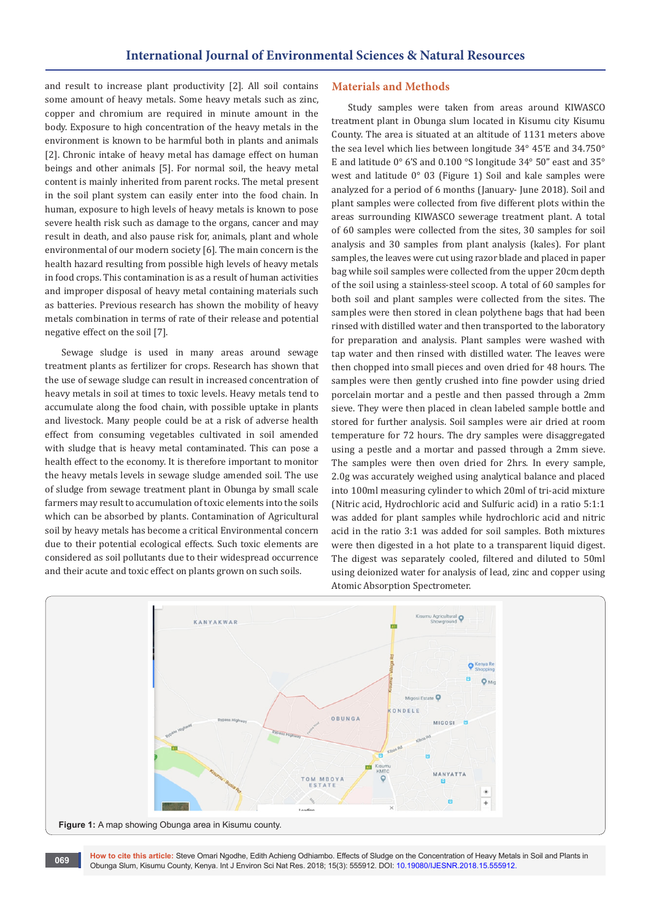and result to increase plant productivity [2]. All soil contains some amount of heavy metals. Some heavy metals such as zinc, copper and chromium are required in minute amount in the body. Exposure to high concentration of the heavy metals in the environment is known to be harmful both in plants and animals [2]. Chronic intake of heavy metal has damage effect on human beings and other animals [5]. For normal soil, the heavy metal content is mainly inherited from parent rocks. The metal present in the soil plant system can easily enter into the food chain. In human, exposure to high levels of heavy metals is known to pose severe health risk such as damage to the organs, cancer and may result in death, and also pause risk for, animals, plant and whole environmental of our modern society [6]. The main concern is the health hazard resulting from possible high levels of heavy metals in food crops. This contamination is as a result of human activities and improper disposal of heavy metal containing materials such as batteries. Previous research has shown the mobility of heavy metals combination in terms of rate of their release and potential negative effect on the soil [7].

Sewage sludge is used in many areas around sewage treatment plants as fertilizer for crops. Research has shown that the use of sewage sludge can result in increased concentration of heavy metals in soil at times to toxic levels. Heavy metals tend to accumulate along the food chain, with possible uptake in plants and livestock. Many people could be at a risk of adverse health effect from consuming vegetables cultivated in soil amended with sludge that is heavy metal contaminated. This can pose a health effect to the economy. It is therefore important to monitor the heavy metals levels in sewage sludge amended soil. The use of sludge from sewage treatment plant in Obunga by small scale farmers may result to accumulation of toxic elements into the soils which can be absorbed by plants. Contamination of Agricultural soil by heavy metals has become a critical Environmental concern due to their potential ecological effects. Such toxic elements are considered as soil pollutants due to their widespread occurrence and their acute and toxic effect on plants grown on such soils.

#### **Materials and Methods**

Study samples were taken from areas around KIWASCO treatment plant in Obunga slum located in Kisumu city Kisumu County. The area is situated at an altitude of 1131 meters above the sea level which lies between longitude 34° 45'E and 34.750° E and latitude 0° 6'S and 0.100 °S longitude 34° 50" east and 35° west and latitude 0° 03 (Figure 1) Soil and kale samples were analyzed for a period of 6 months (January- June 2018). Soil and plant samples were collected from five different plots within the areas surrounding KIWASCO sewerage treatment plant. A total of 60 samples were collected from the sites, 30 samples for soil analysis and 30 samples from plant analysis (kales). For plant samples, the leaves were cut using razor blade and placed in paper bag while soil samples were collected from the upper 20cm depth of the soil using a stainless-steel scoop. A total of 60 samples for both soil and plant samples were collected from the sites. The samples were then stored in clean polythene bags that had been rinsed with distilled water and then transported to the laboratory for preparation and analysis. Plant samples were washed with tap water and then rinsed with distilled water. The leaves were then chopped into small pieces and oven dried for 48 hours. The samples were then gently crushed into fine powder using dried porcelain mortar and a pestle and then passed through a 2mm sieve. They were then placed in clean labeled sample bottle and stored for further analysis. Soil samples were air dried at room temperature for 72 hours. The dry samples were disaggregated using a pestle and a mortar and passed through a 2mm sieve. The samples were then oven dried for 2hrs. In every sample, 2.0g was accurately weighed using analytical balance and placed into 100ml measuring cylinder to which 20ml of tri-acid mixture (Nitric acid, Hydrochloric acid and Sulfuric acid) in a ratio 5:1:1 was added for plant samples while hydrochloric acid and nitric acid in the ratio 3:1 was added for soil samples. Both mixtures were then digested in a hot plate to a transparent liquid digest. The digest was separately cooled, filtered and diluted to 50ml using deionized water for analysis of lead, zinc and copper using Atomic Absorption Spectrometer.



**How to cite this article:** Steve Omari Ngodhe, Edith Achieng Odhiambo. Effects of Sludge on the Concentration of Heavy Metals in Soil and Plants in Obunga Slum, Kisumu County, Kenya. Int J Environ Sci Nat Res. 2018; 15(3): 555912. DOI: [10.19080/IJESNR.2018.15.555912](http://dx.doi.org/10.19080/IJESNR.2018.15.555912). **<sup>069</sup>**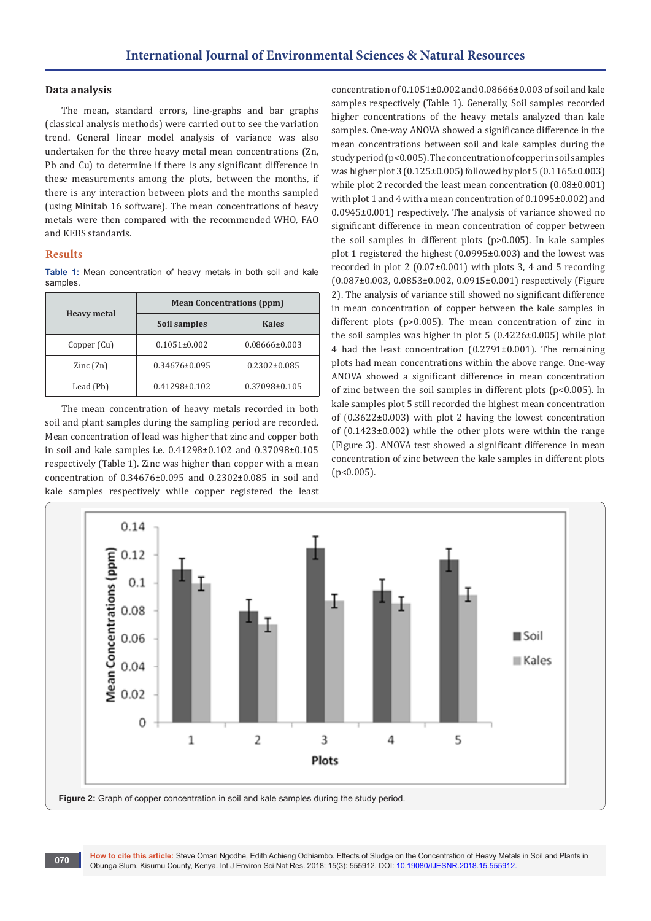## **Data analysis**

The mean, standard errors, line-graphs and bar graphs (classical analysis methods) were carried out to see the variation trend. General linear model analysis of variance was also undertaken for the three heavy metal mean concentrations (Zn, Pb and Cu) to determine if there is any significant difference in these measurements among the plots, between the months, if there is any interaction between plots and the months sampled (using Minitab 16 software). The mean concentrations of heavy metals were then compared with the recommended WHO, FAO and KEBS standards.

## **Results**

**Table 1:** Mean concentration of heavy metals in both soil and kale samples.

| <b>Heavy metal</b>       | <b>Mean Concentrations (ppm)</b> |                    |
|--------------------------|----------------------------------|--------------------|
|                          | Soil samples                     | <b>Kales</b>       |
| Copper (Cu)              | $0.1051 \pm 0.002$               | 0.08666±0.003      |
| $\text{Zinc}(\text{Zn})$ | $0.34676 \pm 0.095$              | $0.2302 \pm 0.085$ |
| Lead (Pb)                | $0.41298 \pm 0.102$              | 0.37098±0.105      |

The mean concentration of heavy metals recorded in both soil and plant samples during the sampling period are recorded. Mean concentration of lead was higher that zinc and copper both in soil and kale samples i.e. 0.41298±0.102 and 0.37098±0.105 respectively (Table 1). Zinc was higher than copper with a mean concentration of 0.34676±0.095 and 0.2302±0.085 in soil and kale samples respectively while copper registered the least

concentration of 0.1051±0.002 and 0.08666±0.003 of soil and kale samples respectively (Table 1). Generally, Soil samples recorded higher concentrations of the heavy metals analyzed than kale samples. One-way ANOVA showed a significance difference in the mean concentrations between soil and kale samples during the study period (p<0.005). The concentration of copper in soil samples was higher plot 3 (0.125±0.005) followed by plot 5 (0.1165±0.003) while plot 2 recorded the least mean concentration (0.08±0.001) with plot 1 and 4 with a mean concentration of 0.1095±0.002) and 0.0945±0.001) respectively. The analysis of variance showed no significant difference in mean concentration of copper between the soil samples in different plots (p>0.005). In kale samples plot 1 registered the highest (0.0995±0.003) and the lowest was recorded in plot 2 (0.07±0.001) with plots 3, 4 and 5 recording (0.087±0.003, 0.0853±0.002, 0.0915±0.001) respectively (Figure 2). The analysis of variance still showed no significant difference in mean concentration of copper between the kale samples in different plots (p>0.005). The mean concentration of zinc in the soil samples was higher in plot 5 (0.4226±0.005) while plot 4 had the least concentration (0.2791±0.001). The remaining plots had mean concentrations within the above range. One-way ANOVA showed a significant difference in mean concentration of zinc between the soil samples in different plots (p<0.005). In kale samples plot 5 still recorded the highest mean concentration of (0.3622±0.003) with plot 2 having the lowest concentration of (0.1423±0.002) while the other plots were within the range (Figure 3). ANOVA test showed a significant difference in mean concentration of zinc between the kale samples in different plots (p<0.005).

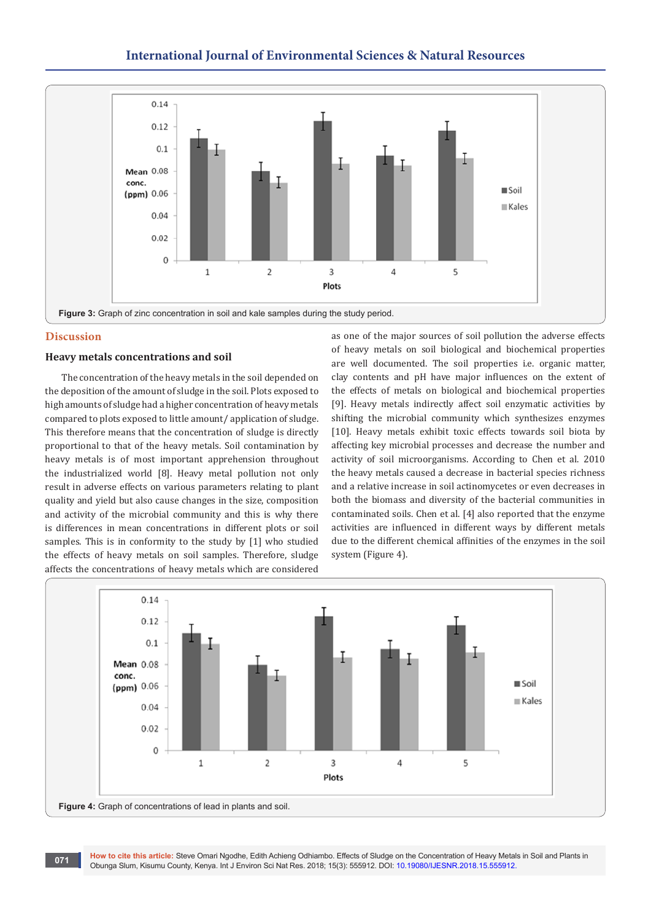## **International Journal of Environmental Sciences & Natural Resources**



## **Discussion**

## **Heavy metals concentrations and soil**

The concentration of the heavy metals in the soil depended on the deposition of the amount of sludge in the soil. Plots exposed to high amounts of sludge had a higher concentration of heavy metals compared to plots exposed to little amount/ application of sludge. This therefore means that the concentration of sludge is directly proportional to that of the heavy metals. Soil contamination by heavy metals is of most important apprehension throughout the industrialized world [8]. Heavy metal pollution not only result in adverse effects on various parameters relating to plant quality and yield but also cause changes in the size, composition and activity of the microbial community and this is why there is differences in mean concentrations in different plots or soil samples. This is in conformity to the study by [1] who studied the effects of heavy metals on soil samples. Therefore, sludge affects the concentrations of heavy metals which are considered

as one of the major sources of soil pollution the adverse effects of heavy metals on soil biological and biochemical properties are well documented. The soil properties i.e. organic matter, clay contents and pH have major influences on the extent of the effects of metals on biological and biochemical properties [9]. Heavy metals indirectly affect soil enzymatic activities by shifting the microbial community which synthesizes enzymes [10]. Heavy metals exhibit toxic effects towards soil biota by affecting key microbial processes and decrease the number and activity of soil microorganisms. According to Chen et al. 2010 the heavy metals caused a decrease in bacterial species richness and a relative increase in soil actinomycetes or even decreases in both the biomass and diversity of the bacterial communities in contaminated soils. Chen et al. [4] also reported that the enzyme activities are influenced in different ways by different metals due to the different chemical affinities of the enzymes in the soil system (Figure 4).

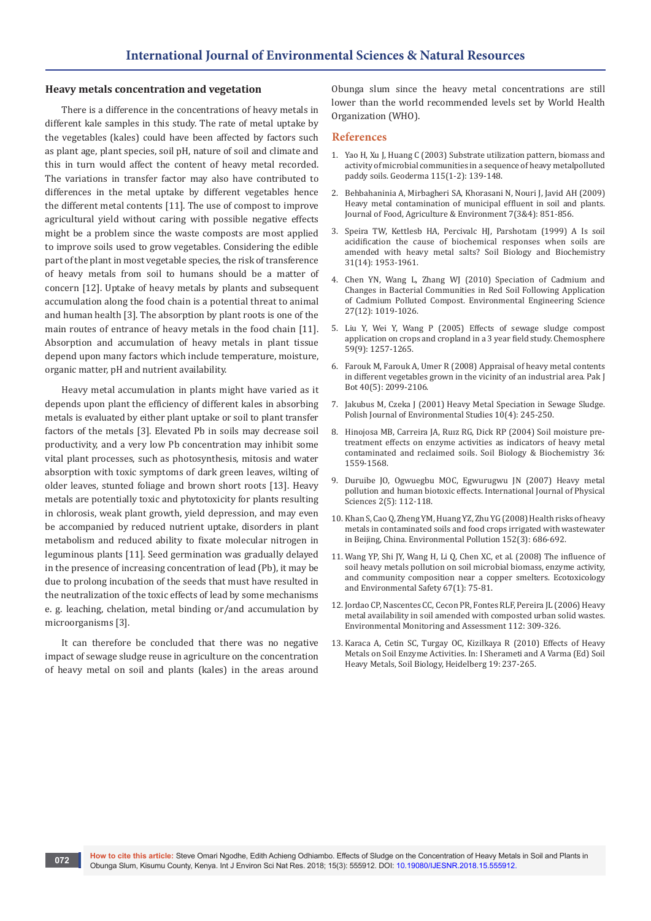## **Heavy metals concentration and vegetation**

There is a difference in the concentrations of heavy metals in different kale samples in this study. The rate of metal uptake by the vegetables (kales) could have been affected by factors such as plant age, plant species, soil pH, nature of soil and climate and this in turn would affect the content of heavy metal recorded. The variations in transfer factor may also have contributed to differences in the metal uptake by different vegetables hence the different metal contents [11]. The use of compost to improve agricultural yield without caring with possible negative effects might be a problem since the waste composts are most applied to improve soils used to grow vegetables. Considering the edible part of the plant in most vegetable species, the risk of transference of heavy metals from soil to humans should be a matter of concern [12]. Uptake of heavy metals by plants and subsequent accumulation along the food chain is a potential threat to animal and human health [3]. The absorption by plant roots is one of the main routes of entrance of heavy metals in the food chain [11]. Absorption and accumulation of heavy metals in plant tissue depend upon many factors which include temperature, moisture, organic matter, pH and nutrient availability.

Heavy metal accumulation in plants might have varied as it depends upon plant the efficiency of different kales in absorbing metals is evaluated by either plant uptake or soil to plant transfer factors of the metals [3]. Elevated Pb in soils may decrease soil productivity, and a very low Pb concentration may inhibit some vital plant processes, such as photosynthesis, mitosis and water absorption with toxic symptoms of dark green leaves, wilting of older leaves, stunted foliage and brown short roots [13]. Heavy metals are potentially toxic and phytotoxicity for plants resulting in chlorosis, weak plant growth, yield depression, and may even be accompanied by reduced nutrient uptake, disorders in plant metabolism and reduced ability to fixate molecular nitrogen in leguminous plants [11]. Seed germination was gradually delayed in the presence of increasing concentration of lead (Pb), it may be due to prolong incubation of the seeds that must have resulted in the neutralization of the toxic effects of lead by some mechanisms e. g. leaching, chelation, metal binding or/and accumulation by microorganisms [3].

It can therefore be concluded that there was no negative impact of sewage sludge reuse in agriculture on the concentration of heavy metal on soil and plants (kales) in the areas around Obunga slum since the heavy metal concentrations are still lower than the world recommended levels set by World Health Organization (WHO).

## **References**

- 1. [Yao H, Xu J, Huang C \(2003\) Substrate utilization pattern, biomass and](https://www.sciencedirect.com/science/article/pii/S0016706103000831)  [activity of microbial communities in a sequence of heavy metalpolluted](https://www.sciencedirect.com/science/article/pii/S0016706103000831)  [paddy soils. Geoderma 115\(1-2\): 139-148.](https://www.sciencedirect.com/science/article/pii/S0016706103000831)
- 2. [Behbahaninia A, Mirbagheri SA, Khorasani N, Nouri J, Javid AH \(2009\)](https://www.tums.ac.ir/1394/06/03/63%20(Behbahaninia).pdf-jnouri-2015-08-25-11-20.pdf)  [Heavy metal contamination of municipal effluent in soil and plants.](https://www.tums.ac.ir/1394/06/03/63%20(Behbahaninia).pdf-jnouri-2015-08-25-11-20.pdf)  [Journal of Food, Agriculture & Environment 7\(3&4\): 851-856.](https://www.tums.ac.ir/1394/06/03/63%20(Behbahaninia).pdf-jnouri-2015-08-25-11-20.pdf)
- 3. [Speira TW, Kettlesb HA, Percivalc HJ, Parshotam \(1999\) A Is soil](https://www.sciencedirect.com/science/article/abs/pii/S0038071799001157)  [acidification the cause of biochemical responses when soils are](https://www.sciencedirect.com/science/article/abs/pii/S0038071799001157)  [amended with heavy metal salts? Soil Biology and Biochemistry](https://www.sciencedirect.com/science/article/abs/pii/S0038071799001157)  [31\(14\): 1953-1961.](https://www.sciencedirect.com/science/article/abs/pii/S0038071799001157)
- 4. [Chen YN, Wang L, Zhang WJ \(2010\) Speciation of Cadmium and](https://www.liebertpub.com/doi/10.1089/ees.2010.0015)  [Changes in Bacterial Communities in Red Soil Following Application](https://www.liebertpub.com/doi/10.1089/ees.2010.0015)  [of Cadmium Polluted Compost. Environmental Engineering Science](https://www.liebertpub.com/doi/10.1089/ees.2010.0015)  [27\(12\): 1019-1026.](https://www.liebertpub.com/doi/10.1089/ees.2010.0015)
- 5. [Liu Y, Wei Y, Wang P \(2005\) Effects of sewage sludge compost](https://www.sciencedirect.com/science/article/pii/S0045653504011270)  [application on crops and cropland in a 3 year field study. Chemosphere](https://www.sciencedirect.com/science/article/pii/S0045653504011270)  [59\(9\): 1257-1265.](https://www.sciencedirect.com/science/article/pii/S0045653504011270)
- 6. [Farouk M, Farouk A, Umer R \(2008\) Appraisal of heavy metal contents](https://pdfs.semanticscholar.org/ba43/427aaeb287a2bf72f706b32e1748c8712a47.pdf)  [in different vegetables grown in the vicinity of an industrial area. Pak J](https://pdfs.semanticscholar.org/ba43/427aaeb287a2bf72f706b32e1748c8712a47.pdf)  [Bot 40\(5\): 2099-2106.](https://pdfs.semanticscholar.org/ba43/427aaeb287a2bf72f706b32e1748c8712a47.pdf)
- 7. Jakubus M, Czeka J (2001) Heavy Metal Speciation in Sewage Sludge. Polish Journal of Environmental Studies 10(4): 245-250.
- 8. [Hinojosa MB, Carreira JA, Ruız RG, Dick RP \(2004\) Soil moisture pre](https://www.sciencedirect.com/science/article/abs/pii/S0038071704001932)[treatment effects on enzyme activities as indicators of heavy metal](https://www.sciencedirect.com/science/article/abs/pii/S0038071704001932)  [contaminated and reclaimed soils. Soil Biology & Biochemistry 36:](https://www.sciencedirect.com/science/article/abs/pii/S0038071704001932)  [1559-1568.](https://www.sciencedirect.com/science/article/abs/pii/S0038071704001932)
- 9. Duruibe JO, Ogwuegbu MOC, Egwurugwu JN (2007) Heavy metal pollution and human biotoxic effects. International Journal of Physical Sciences 2(5): 112-118.
- 10. [Khan S, Cao Q, Zheng YM, Huang YZ, Zhu YG \(2008\) Health risks of heavy](https://www.sciencedirect.com/science/article/pii/S0269749107003351)  [metals in contaminated soils and food crops irrigated with wastewater](https://www.sciencedirect.com/science/article/pii/S0269749107003351)  [in Beijing, China. Environmental Pollution 152\(3\): 686-692.](https://www.sciencedirect.com/science/article/pii/S0269749107003351)
- 11. [Wang YP, Shi JY, Wang H, Li Q, Chen XC, et al. \(2008\) The influence of](https://www.ncbi.nlm.nih.gov/pubmed/16828162)  [soil heavy metals pollution on soil microbial biomass, enzyme activity,](https://www.ncbi.nlm.nih.gov/pubmed/16828162)  [and community composition near a copper smelters. Ecotoxicology](https://www.ncbi.nlm.nih.gov/pubmed/16828162)  [and Environmental Safety 67\(1\): 75-81.](https://www.ncbi.nlm.nih.gov/pubmed/16828162)
- 12. [Jordao CP, Nascentes CC, Cecon PR, Fontes RLF, Pereira JL \(2006\) Heavy](https://link.springer.com/article/10.1007/s10661-006-1072-y)  [metal availability in soil amended with composted urban solid wastes.](https://link.springer.com/article/10.1007/s10661-006-1072-y)  [Environmental Monitoring and Assessment 112: 309-326](https://link.springer.com/article/10.1007/s10661-006-1072-y).
- 13. [Karaca A, Cetin SC, Turgay OC, Kizilkaya R \(2010\) Effects of Heavy](https://link.springer.com/chapter/10.1007/978-3-642-02436-8_11)  [Metals on Soil Enzyme Activities. In: I Sherameti and A Varma \(Ed\) Soil](https://link.springer.com/chapter/10.1007/978-3-642-02436-8_11)  [Heavy Metals, Soil Biology, Heidelberg 19: 237-265.](https://link.springer.com/chapter/10.1007/978-3-642-02436-8_11)